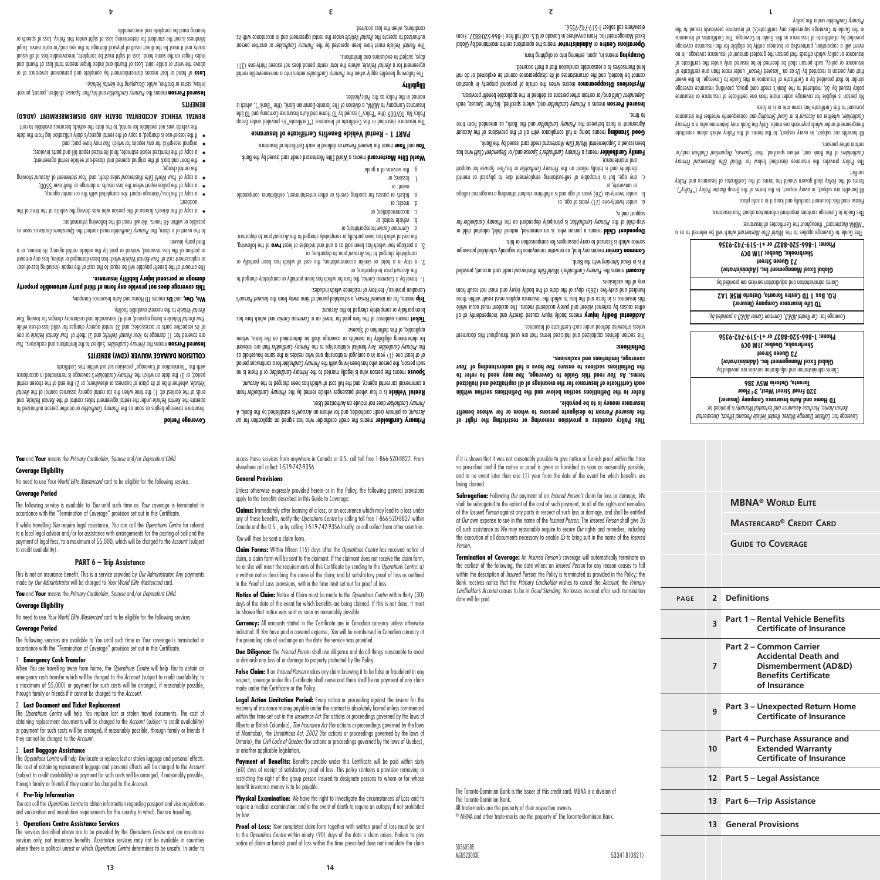The *Operations Centre* will help *You* locate or replace lost or stolen luggage and personal effects. The cost of obtaining replacement luggage and personal effects will be charged to the *Account* (subject to credit availability) or payment for such costs will be arranged, if reasonably possible, through family or friends if they cannot be charged to the *Account*. 4. **Pre-Trip Information**

**You** and **Your** means the *Primary Cardholder*, *Spouse* and/or *Dependent Child*

No need to use Your *World Elite Mastercard* card to be eligible for the following service.

The following service is available to *You* until such time as *Your* coverage is terminated in accordance with the "Termination of Coverage" provision set out in this Certificate. If while travelling *You* require legal assistance, *You* can call the *Operations Centre* for referral to a local legal advisor and/or for assistance with arrangements for the posting of bail and the payment of legal fees, to a maximum of \$5,000, which will be charged to the *Account* (subject

protocore coverage begins as soon as the *Primary Cardholder* or another person authorized to , and *Rental Vehicle* under the rental agreement takes control of the *Rental Vehicle* operate the *Rental* ends at the earliest of: 1) the time when the car rental agency assumes control of the United that the place of business or elsewhere; or 2) the end of the chosen rental *vehicle*, when rental *vehicle* period; or 3) the date on which the *Primary Cardholder's* coverage is terminated in accordance

*You* . Subject to the limitations and exclusions, *Primary Cardholder* means the **Insured Person** ore covered for: 1) damage to Your Rental Vehicle; and 2) theft of Your Rental Vehicle or any of its respective parts or accessories; and 3) rental agency charges for valid loss-of-use while *Your* is being repaired; and 4) reasonable and customary charges for towing *Your Rental Vehicle*

**This coverage does not provide any form of third party automobile property** 

The amount of the benefit payable will be equal to the cost of the repair (including loss-of-use) or replacement cost of Your Rental Vehicle which has been damaged or stolen, less any amount or portion of the loss assumed, waived or paid by the vehicle rental agency, its insurer, or a

In the event of a claim, the *Primary Cardholder must* contact the *Operations Centre* as soon as

of copy of the driver's license of the person who was driving the single at the time of the  $\frac{1}{10}$ 

with the "Termination of Coverage" provision set out within this Certificate.

**COLLISION DAMAGE WAIVER (CDW) BENEFITS**

means TD Home and Auto Insurance Company. **Us** and **We, Our,**

will need all the following support in the following information:

**Complete with the care care care care care care following** the car rental agency;  $\frac{1}{2}$  $\bullet$  copy of the police report when the loss results in damage or theft over  $5500$ ; **buiwont funcopy to trie meantly only that is also also also four statement of Account Showing** 

the front and back of the original opened and closed-out vehicle rental agreement; • a copy of the itemized repair estimate, final itemized repair bill and parts invoices; • may have bay the paid; and *You and rebairs for which you may have paid;* and

if the loss-of-use is charged, a copy of the rental agency's daily utilization log from the date the vehicle was not alable to the vehicle the vehicle becomes available to the vehicle the vehicle to rent. **RENTAL VEHICLE ACCIDENTAL DEATH AND DISMEMBERMENT (AD&D)** 

Insured Person means the Primary Cardholder and his/her *Spouse*, children, parent- reading

Loss of hand or foot means dismemberment by complete and permanent severance at or pub quint to see joint and a both we have and index the seed that independence of the production and index finger on the same hand. Loss of sight must be complete, irrecoverable loss of all visual acuity and it must be the direct result of physical damage to the eye and/or optic nerve. Legal blindness is not the standard for determining Loss of sight under this Policy. Loss of speech or

in-law, sister or brother, while *Uccupying* the Kental Vehicle.

hearing must be complete and irrecoverable.

**damage or personal injury liability insurance.**

to the nearest available facility. *Rental Vehicle*

**PART 6 – Trip Assistance** This is not an insurance benefit. This is a service provided by *Our Administrator.* Any payments

made by *Our Administrator* will be charged to *Your World Elite Mastercard* card. **You** and **Your** means the *Primary Cardholder*, *Spouse* and/or *Dependent Child*.

No need to use *Your World Elite Mastercard* card to be eligible for the following services.

The following services are available to You until such time as Your coverage is terminated in accordance with the "Termination of Coverage" provision set out in this Certificate.

When *You* are travelling away from home, the *Operations Centre* will help *You* to obtain an emergency cash transfer which will be charged to the *Account* (subject to credit availability, to a maximum of \$5,000) or payment for such costs will be arranged, if reasonably possible,

The *Operations Centre* will help *You* replace lost or stolen travel documents. The cost of obtaining replacement documents will be charged to the *Account* (subject to credit availability) or payment for such costs will be arranged, if reasonably possible, through family or friends if

**Coverage Eligibility** 

**Coverage Period**

to credit availability).

**Coverage Eligibility**

**Coverage Period**

1. **Emergency Cash Transfer**

through family or friends if it cannot be charged to the *Account*. 2. **Lost Document and Ticket Replacement**

they cannot be charged to the *Account*. 3. **Lost Baggage Assistance**

*You* can call the *Operations Centre* to obtain information regarding passport and visa regulations and vaccination and inoculation requirements for the country to which *You* are travelling.

### 5. **Operations Centre Assistance Services**

The services described above are to be provided by the *Operations Centre* and are assistance services only, not insurance benefits. Assistance services may not be available in countries

Payment of Benefits: Benefits payable under this Certificate will be paid within sixty (60) days of receipt of satisfactory proof of loss. This policy contains a provision removing or restricting the right of the group person insured to designate persons to whom or for whose benefit insurance money is to be payable.

The Toronto-Dominion Bank is the issuer of this credit card. MBNA is a division of

® MBNA and other trade-marks are the property of The Toronto-Dominion Bank.

MGU523003E 533418(0821)

if it is shown that it was not reasonably possible to give notice or furnish proof within the time so prescribed and if the notice or proof is given or furnished as soon as reasonably possible, and in no event later than one (1) year from the date of the event for which benefits are

**This Policy contains a provision removing or restricting the right of to designate persons to whom or for whose benefit** *Insured Person* **the** 

**Refer to the Definitions section below and the Definitions section within each Certificate of Insurance for the meanings of all capitalized and italicized rerms. As You read this Guide to Coverage, You may need to refer to** *Your* **have a full understanding of** *You* **the Definitions sections to ensure** 

This section defines capitalized and italicized terms that are used throughout this document

**heans bodily Inpury** moon of the period streak in the postup of all proportly of all body in the postup of all  $\theta$ other causes by external violent and purely accidental means. The accident must occur while this insurance is in force and the loss to which the insurance applies must result within three mundred and sixty-five (365) days of the data the bodily injury and must not result from

credit card account, provided *Primary Cardholder's World Elite Mastercard* means the **Account**

means any land, air or water conveyance for regularly scheduled passenger **Common Carrier**

Dependent Child means a person who: is an unmarried, natural child, adopted child or for *Primary Cardholder, is phologer were primary Cardholder* for the *Primary Cardholder* for

b. under twenty-six (26) years of age and is a full-time student attending a recognized college

c. any age, but is incapable of self-sustaining employment due to physical or mental troqque tot <del>s</del>evoq2 terl\zid to veblonbnoJ ynomit9 ent no tnoiler vliotot zi bno ytilidozib.<br>and maintenance. **Family Cardholder** means a Primary Cardholder's Spouse and/or Dependent Child who has been issued a Supplemental World Elite Mastercard credit card buses alonk. external being in full compliance with all complete with a state of the Account the Account **Cools** and the Bank, and the *Bankeen the Primary Cardholder* and the Bank, as amended from time

, each *Spouse* and, where specified, his/her *Primary Cardholder* means a **Insured Person** bependent *Child* and/or certain other persons as defined in the applicable benefit provision. **Mysterious Disappearance** means when the article of personal property in question cannot be located, and the circumstances of its disappearance cannot be explained or do not

perations Centre or **Administrator** means the operations centre maintained by Global Excel Management Inc. From anywhere in Canada or U.S. call toll free 1-866-520-8827. From

> lend themselves to a reasonable conclusion that a theft occurred. means in, upon, entering into or alighting from. **Occupying**

elsewhere call collect 1-519-742-9356.

**insurance money is to be payable.**

**coverage, limitations and exclusions.** 

unless otherwise defined under each Certificate of Insurance.

service which is licensed to carry passengers for compensation or hire.

**Definitions:**

any of the exclusions.

si pup uoddns

to time.

or university, or

who Bank union Bank. **Prophet it is it is the Bank** 

under twenty-one (21) years of age, or a.

**Subrogation:** Following *Our* payment of an *Insured Person's* claim for loss or damage, *We* shall be subrogated to the extent of the cost of such payment, to all of the rights and remedies of the *Insured Person* against any party in respect of such loss or damage, and shall be entitled at *Our* own expense to sue in the name of the *Insured Person*. The *Insured Person* shall give *Us* all such assistance as *We* may reasonably require to secure *Our* rights and remedies, including the execution of all documents necessary to enable *Us* to bring suit in the name of the *Insured* 

**MBNA® World Elite**

*Collision Damage Waiver, Rental Vehicle Personal Effects, Unexpected* Coverage for: is provided by: *Return Home, Purchase Assurance and Extended Warranty*  **TD Home and Auto Insurance Company (Insurer) 320 Front Street West, 3rd Floor Toronto, Ontario M5V 3B6** Claims administration and adjudication services are provided by: **)** *Administrator* **Global Excel Management Inc. ( 73 Queen Street Sherbrooke, Quebec J1M 0C9 Phone: 1-866-520-8827 or +1-519-742-9356**

*Car Rental AD&D, Common Carrier AD&D is provided by:* Coverage for: **TD Life Insurance Company (Insurer) P.O. Box 1 TD Centre Toronto, Ontario M5K 1A2** Claims administration and adjudication services are provided by: **)** *Administrator* **Global Excel Management Inc. ( 73 Queen Street Sherbrooke, Quebec J1M 0C9 Phone: 1-866-520-8827 or +1-519-742-9356** This Guide to Coverage applies to the World Elite Mastercard which will be referred to as a

"MBNA Mastercard" throughout the Certificates of Insurance:

Please read this document carefully and keep it in a safe place.

pursuant to this Certificate has come into or is in force.

under the policy. *Primary Cardholder*

conflict.

certain other persons.

lhis Guide to Coverage contains intertour intornation about Your insurance.

All benefits are subject, in every respect, to the terms of the Group Master Policy ("Policy"). Policy should govern should the terms of the Certificates of Insurance and *Policy* 

The Policy provides the insurance described below for World Elite Mastercard Primary Cardholders of the Bank and, where specified, rient Spousep dependent Children and/or

All benefits are subject, in every respect, to the terms of the Policy which alone constitute *Primary* theagreement under which payments are made. Only the Bank may determine who is a and consequently whether the insurance *Good Standing* is in *Account* , whether an *Cardholder*

No person is eligible for coverage under more than one certificate of insurance or insurance bolicy issued by Us, marketed to the Bank's credit card group, providing insurance coverage similar to that provided by a Certificate of Insurance in this Guide to Coverage. In the event to etopithes eno nonth enom hebriu " *Insued berized"* may be also be determined by the person is recorded by the insurance or policy, such person shall be deemed to be insured only under the certificate of insurance or policy which affords that person the greatest amount of insurance coverage. In no event will a corporation, partnership or business entity be eligible for the insurance coverage provided by aCertificate of Insurance in this Guide to Coverage. The Certificates of Insurance in this Guide to Coverage supersedes any certificate(s) of insurance previously issued to the

**Guide to Coverage**

**<sup>3</sup> Part 1 – Rental Vehicle Benefits** 

**Part 2 – Common Carrier** 

**<sup>9</sup> Part 3 – Unexpected Return Home** 

**Part 4 – Purchase Assurance and Extended Warranty Certificate of Insurance**

**12 Part 5 – Legal Assistance**

**13 Part 6—Trip Assistance**

**13 General Provisions**

**Certificate of Insurance**

**Accidental Death and Dismemberment (AD&D) Benefits Certificate of Insurance**

**Certificate of Insurance**

**page 2 Definitions**

**7**

**10**

**Mastercard® Credit Card**

**Termination of Coverage:** An *Insured Person's* coverage will automatically terminate on the earliest of the following, the date when: an *Insured Person* for any reason ceases to fall within the description of *Insured Person*; the Policy is terminated as provided in the Policy; the Bank receives notice that the *Primary Cardholder* wishes to cancel the *Account*; the *Primary Cardholder's Account* ceases to be in *Good Standing*. No losses incurred after such terminational card termination

All trade-marks are the property of their respective owners.

The Toronto-Dominion Bank.

being claimed.

**4 3 2 1**

*Person*.

date will be paid.

50360588

**Physical Examination:** *We* have the right to investigate the circumstances *of* Loss and to require a medical examination; and in the event of death to require an autopsy if not prohibited by law.

Proof of Loss: *Your* completed claim form together with written proof of loss must be sent to the *Operations Centre* within ninety (90) days of the date a claim arises. Failure to give notice of claim or furnish proof of loss within the time prescribed does not invalidate the claim

recovery of insurance money payable under the contract is absolutely barred unless commenced within the time set out in the *Insurance Act* (for actions or proceedings governed by the laws of Alberta or British Columbia), *The Insurance Act* (for actions or proceedings governed by the laws of Manitoba), the *Limitations Act, 2002* (for actions or proceedings governed by the laws of Ontario), the *Civil Code of Quebec* (for actions or proceedings governed by the laws of Quebec), or another applicable legislation.

or diminish any loss of or damage to property protected by the Policy. **False Claim:** If an *Insured Person* makes any claim knowing it to be false or fraudulent in any respect, coverage under this Certificate shall cease and there shall be no payment of any claim

Leaal Action Limitation Period: Every action or proceeding against the insurer for the

the prevailing rate of exchange on the date the service was provided. **Due Diligence:** The *Insured Person* shall use diligence and do all things reasonable to avoid

**Currency:** All amounts stated in the Certificate are in Canadian currency unless otherwise indicated. If *You* have paid a covered expense, *You* will be reimbursed in Canadian currency at

**Notice of Claim:** Notice of Claim must be made to the *Operations Centre* within thirty (30) days of the date of the event for which benefits are being claimed. If this is not done, it must be shown that notice was sent as soon as reasonably possible.

claim, a claim form will be sent to the claimant. If the claimant does not receive the claim form, he or she will meet the requirements of this Certificate by sending to the *Operations Centre*: a) a written notice describing the cause of the claim; and b) satisfactory proof of loss as outlined in the Proof of Loss provisions, within the time limit set out for proof of loss.

**Claim Forms:** Within fifteen (15) days after the *Operations Centre* has received notice of

### *You* will then be sent a claim form.

made under this Certificate or the Policy.

apply to the benefits described in this Guide to Coverage: **Claims:** Immediately after learning of a loss, or an occurrence which may lead to a loss under any of these benefits, notify the *Operations Centre* by calling toll free 1-866-520-8827 within Canada and the U.S., or by calling 1-519-742-9356 locally, or call collect from other countries.

**General Provisions** Unless otherwise expressly provided herein or in the Policy, the following general provisions

**Coverage Period**

third party insurer.

accident;

**BENEFITS**

the rental charge):

access these services from anywhere in Canada or U.S. call toll free 1-866-520-8827. From elsewhere call collect 1-519-742-9356.

**A** case the creation of the credit cardholder who has signed an application for an is established by the Bank. A *Account* , as primary credit cardholder, and for whom an *Account* does not include an Authorized User. *Primary Cardholder*

**Kental Vehicle** is a four wheel passenger vehicle rented by the *Primary Lardholder* from a commercial car rental agency, and the full cost of which has also had the Account.

**Spouse means the sexual means is legally married at order means of the sponsor where** is no For a continuous person who has been living with the *Primary Cardholder* for a continuous period

of at least one (1) year in a conjugal relationship and who resides in the same household as that *Primary Cardholder* Any familial relationships to the *Primary Cardholder* that the relevant for determining eligibility for benefits or coverage shall be determined on the basis, where . Sevoq 2 to noitinitab *zirit* to , aldo aliqqo

Ticket means evidence of the fare paid for travel on a *Common Carrier* and which fare has

Info *Insured Person's a cuered person's* a schequied period is used to sep the *Insured Person's* 

). The fare for a common carrier, the fare for which has been partially or completely charged to

2. a stay in a hotel or similar accommodation, the cost of which has been partially or

3. a package tour which has been sold as a unit and includes at least **two** of the rollowing, the cost of which has been partially or completely charged to the Account prior to departure:

tickets or passes for sporting events or other entertainment, exhibitioner comparable e.

**World Elite Mastercard means a World Elite Mastercard credit card issued by the Bank. could Your mean the Insured Person as defined in each Certificate of Insurance. PART 1 - Rental Vehicle Benefits Certificate of Insurance** The insurance described in this Certificate of Insurance ("Certificate")is provided under Group Policy No. TGV009 (the "Policy") issued by TD Home and Auto Insurance Company and TD Life Insurance Company to MBNA, a division of The Toronto-Dominion Bank, (the "Bank"), which is

The following benefits relate vertex primary Cardholder as other cardinal primary and the following being , Where the total rental vehicle, where the total rental period does not exceed thirty-one (31)

I le Kental Vehicle must have been operated by the *Primary Cardholder* or another person under the rental agreement and actor and actor and in actordance with its *Riman and the rental to authorize th* 

Canadian province/ territory of residence which includes:

courbierery charged to the *Account* prior to departure; or

prior to departure; or *Account* the

transportation; or *Common Carrier a.*

b. vehicle rental; or accommodation; or g<sup>.</sup> meals) or

event; or lessons; or g. the services of a guide.

named in the Policy as the Policyholder.

days, subject to exclusions and limitations.

conditions, when the loss occurred.

**Eligibility**

been partially or completely charged to the Account.